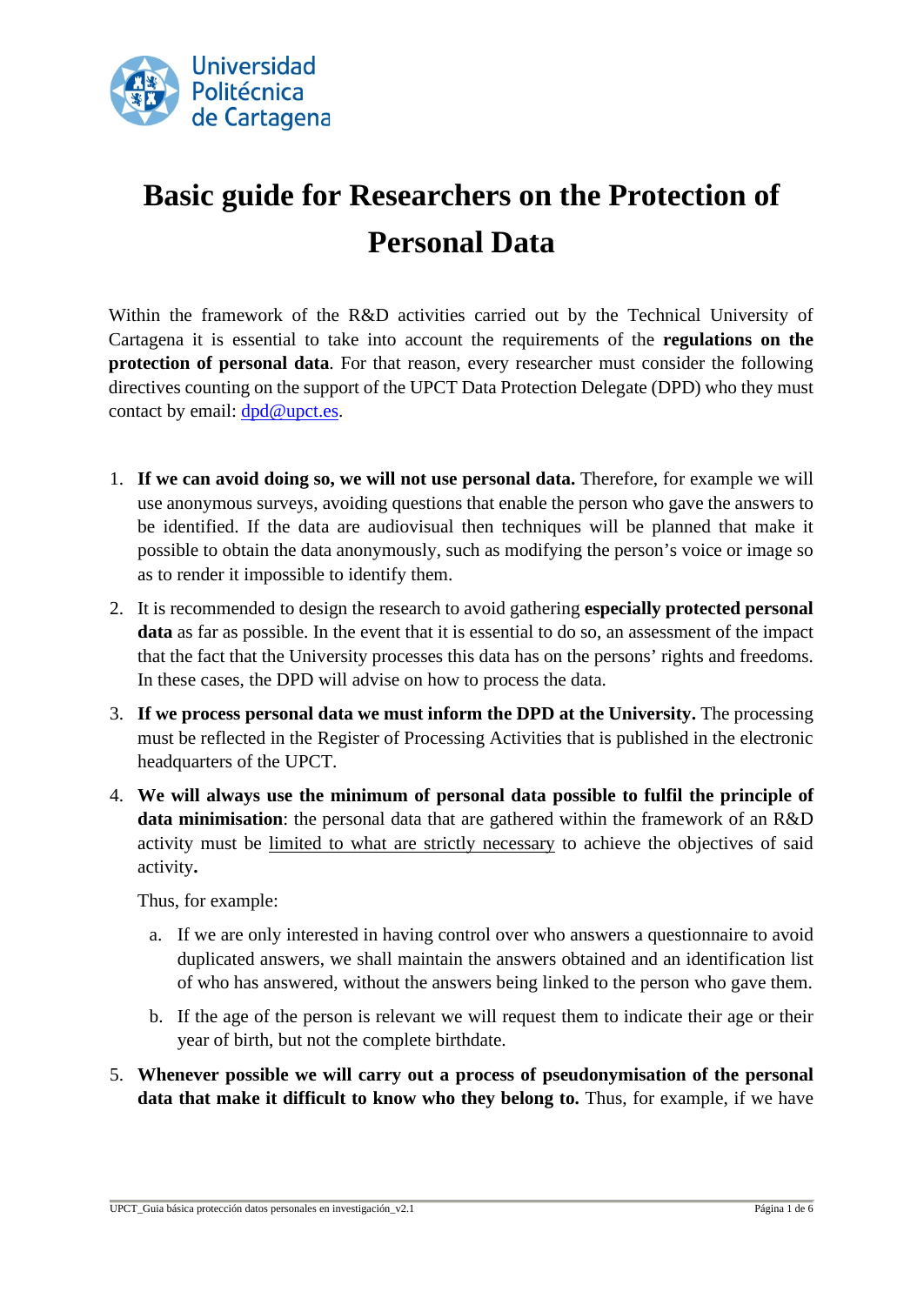

## **Basic guide for Researchers on the Protection of Personal Data**

Within the framework of the R&D activities carried out by the Technical University of Cartagena it is essential to take into account the requirements of the **regulations on the protection of personal data**. For that reason, every researcher must consider the following directives counting on the support of the UPCT Data Protection Delegate (DPD) who they must contact by email:  $dpd@$ upct.es.

- 1. **If we can avoid doing so, we will not use personal data.** Therefore, for example we will use anonymous surveys, avoiding questions that enable the person who gave the answers to be identified. If the data are audiovisual then techniques will be planned that make it possible to obtain the data anonymously, such as modifying the person's voice or image so as to render it impossible to identify them.
- 2. It is recommended to design the research to avoid gathering **especially protected personal data** as far as possible. In the event that it is essential to do so, an assessment of the impact that the fact that the University processes this data has on the persons' rights and freedoms. In these cases, the DPD will advise on how to process the data.
- 3. **If we process personal data we must inform the DPD at the University.** The processing must be reflected in the Register of Processing Activities that is published in the electronic headquarters of the UPCT.
- 4. **We will always use the minimum of personal data possible to fulfil the principle of data minimisation**: the personal data that are gathered within the framework of an R&D activity must be limited to what are strictly necessary to achieve the objectives of said activity**.**

Thus, for example:

- a. If we are only interested in having control over who answers a questionnaire to avoid duplicated answers, we shall maintain the answers obtained and an identification list of who has answered, without the answers being linked to the person who gave them.
- b. If the age of the person is relevant we will request them to indicate their age or their year of birth, but not the complete birthdate.
- 5. **Whenever possible we will carry out a process of pseudonymisation of the personal**  data that make it difficult to know who they belong to. Thus, for example, if we have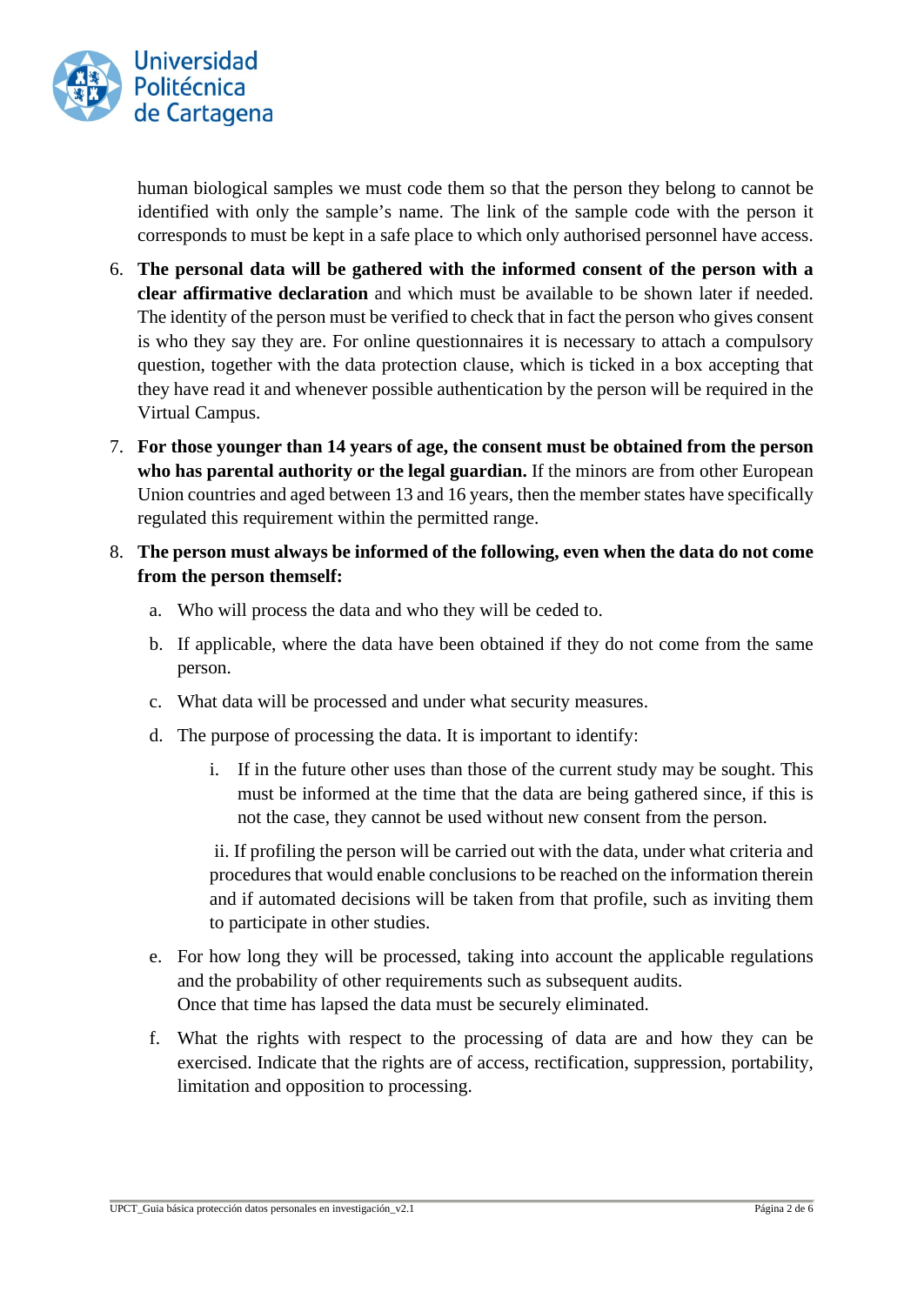

human biological samples we must code them so that the person they belong to cannot be identified with only the sample's name. The link of the sample code with the person it corresponds to must be kept in a safe place to which only authorised personnel have access.

- 6. **The personal data will be gathered with the informed consent of the person with a clear affirmative declaration** and which must be available to be shown later if needed. The identity of the person must be verified to check that in fact the person who gives consent is who they say they are. For online questionnaires it is necessary to attach a compulsory question, together with the data protection clause, which is ticked in a box accepting that they have read it and whenever possible authentication by the person will be required in the Virtual Campus.
- 7. **For those younger than 14 years of age, the consent must be obtained from the person who has parental authority or the legal guardian.** If the minors are from other European Union countries and aged between 13 and 16 years, then the member states have specifically regulated this requirement within the permitted range.
- 8. **The person must always be informed of the following, even when the data do not come from the person themself:** 
	- a. Who will process the data and who they will be ceded to.
	- b. If applicable, where the data have been obtained if they do not come from the same person.
	- c. What data will be processed and under what security measures.
	- d. The purpose of processing the data. It is important to identify:
		- i. If in the future other uses than those of the current study may be sought. This must be informed at the time that the data are being gathered since, if this is not the case, they cannot be used without new consent from the person.

ii. If profiling the person will be carried out with the data, under what criteria and procedures that would enable conclusions to be reached on the information therein and if automated decisions will be taken from that profile, such as inviting them to participate in other studies.

- e. For how long they will be processed, taking into account the applicable regulations and the probability of other requirements such as subsequent audits. Once that time has lapsed the data must be securely eliminated.
- f. What the rights with respect to the processing of data are and how they can be exercised. Indicate that the rights are of access, rectification, suppression, portability, limitation and opposition to processing.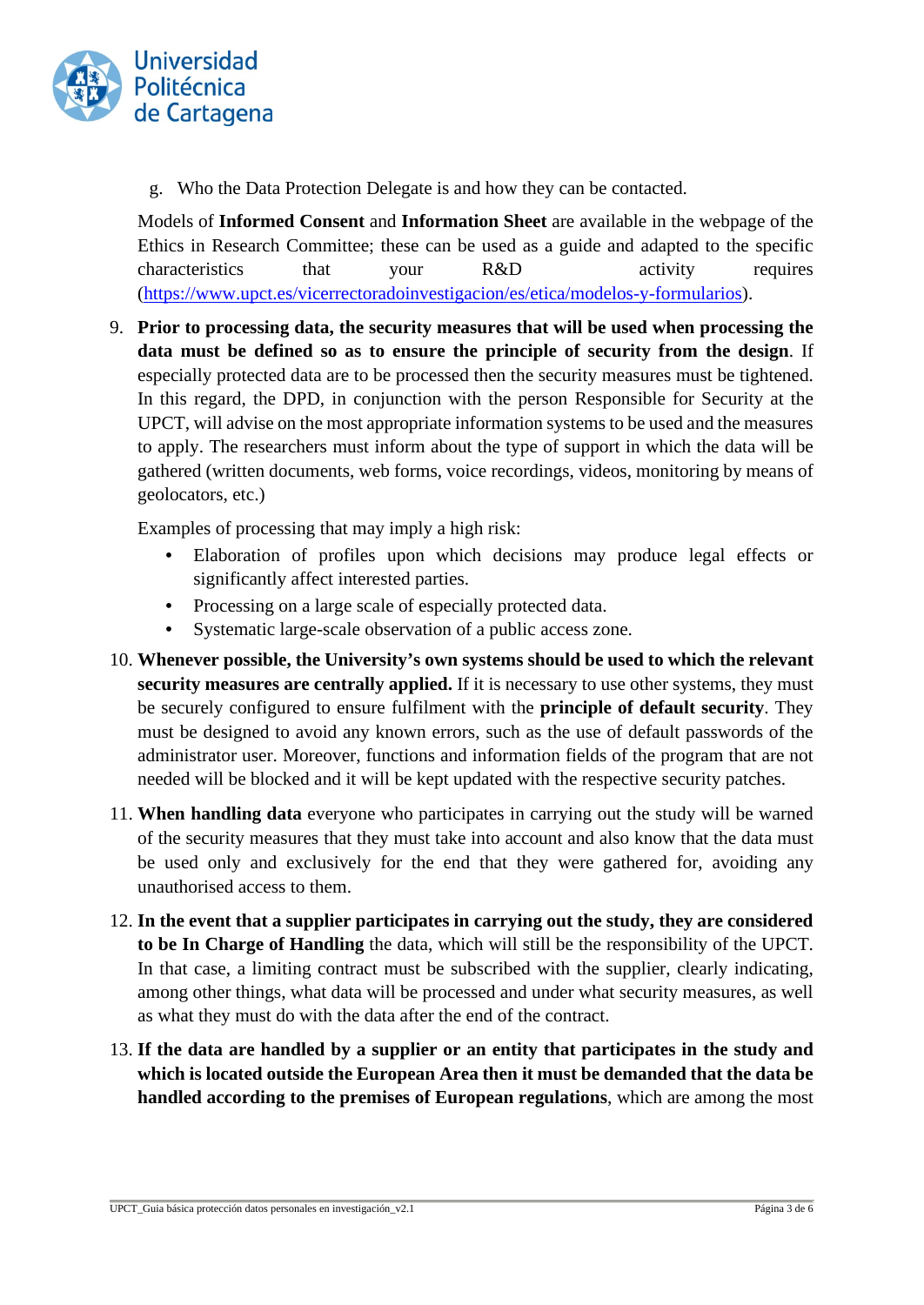

g. Who the Data Protection Delegate is and how they can be contacted.

Models of **Informed Consent** and **Information Sheet** are available in the webpage of the Ethics in Research Committee; these can be used as a guide and adapted to the specific characteristics that your R&D activity requires [\(https://www.upct.es/vicerrectoradoinvestigacion/es/etica/modelos-y-formularios\).](https://www.upct.es/vicerrectoradoinvestigacion/es/etica/modelos-y-formularios)

9. **Prior to processing data, the security measures that will be used when processing the data must be defined so as to ensure the principle of security from the design**. If especially protected data are to be processed then the security measures must be tightened. In this regard, the DPD, in conjunction with the person Responsible for Security at the UPCT, will advise on the most appropriate information systems to be used and the measures to apply. The researchers must inform about the type of support in which the data will be gathered (written documents, web forms, voice recordings, videos, monitoring by means of geolocators, etc.)

Examples of processing that may imply a high risk:

- Elaboration of profiles upon which decisions may produce legal effects or significantly affect interested parties.
- Processing on a large scale of especially protected data.
- Systematic large-scale observation of a public access zone.
- 10. **Whenever possible, the University's own systems should be used to which the relevant security measures are centrally applied.** If it is necessary to use other systems, they must be securely configured to ensure fulfilment with the **principle of default security**. They must be designed to avoid any known errors, such as the use of default passwords of the administrator user. Moreover, functions and information fields of the program that are not needed will be blocked and it will be kept updated with the respective security patches.
- 11. **When handling data** everyone who participates in carrying out the study will be warned of the security measures that they must take into account and also know that the data must be used only and exclusively for the end that they were gathered for, avoiding any unauthorised access to them.
- 12. **In the event that a supplier participates in carrying out the study, they are considered to be In Charge of Handling** the data, which will still be the responsibility of the UPCT. In that case, a limiting contract must be subscribed with the supplier, clearly indicating, among other things, what data will be processed and under what security measures, as well as what they must do with the data after the end of the contract.
- 13. **If the data are handled by a supplier or an entity that participates in the study and which is located outside the European Area then it must be demanded that the data be handled according to the premises of European regulations**, which are among the most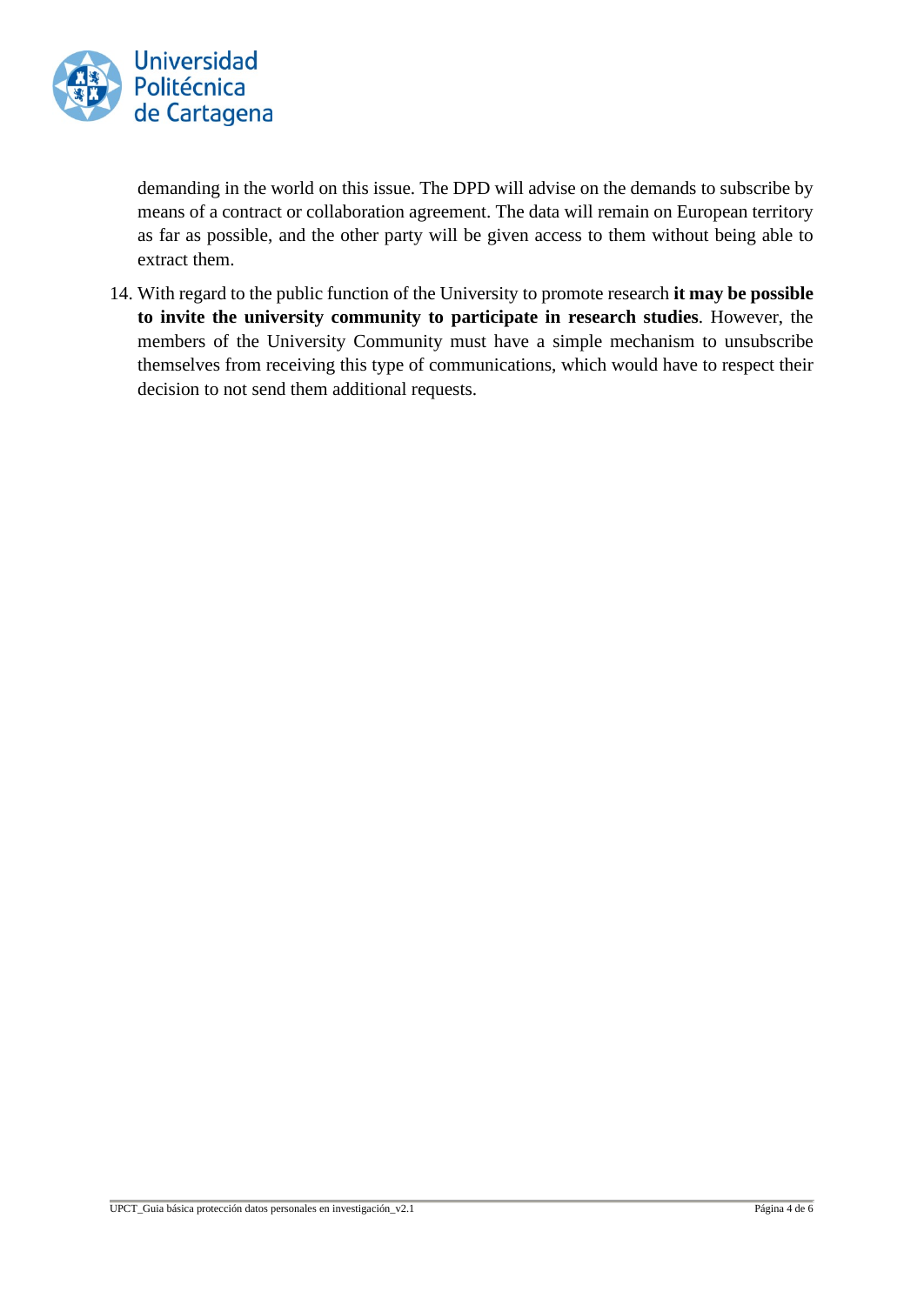

demanding in the world on this issue. The DPD will advise on the demands to subscribe by means of a contract or collaboration agreement. The data will remain on European territory as far as possible, and the other party will be given access to them without being able to extract them.

14. With regard to the public function of the University to promote research **it may be possible to invite the university community to participate in research studies**. However, the members of the University Community must have a simple mechanism to unsubscribe themselves from receiving this type of communications, which would have to respect their decision to not send them additional requests.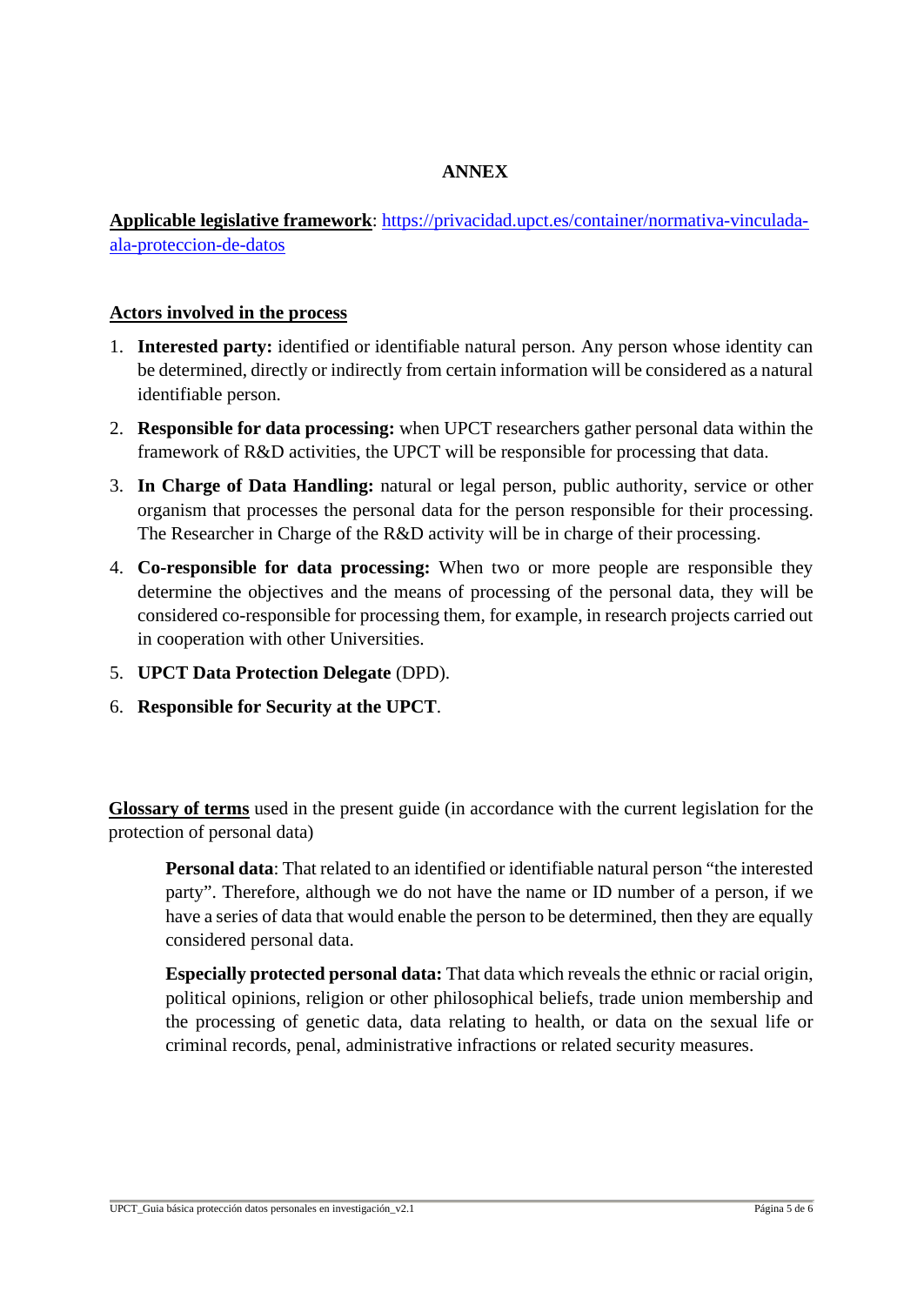## **ANNEX**

**Applicable legislative framework**: [https://privacidad.upct.es/container/normativa-vinculada](https://privacidad.upct.es/container/normativa-vinculada-a-la-proteccion-de-datos)[ala-proteccion-de-datos](https://privacidad.upct.es/container/normativa-vinculada-a-la-proteccion-de-datos)

## **Actors involved in the process**

- 1. **Interested party:** identified or identifiable natural person. Any person whose identity can be determined, directly or indirectly from certain information will be considered as a natural identifiable person.
- 2. **Responsible for data processing:** when UPCT researchers gather personal data within the framework of R&D activities, the UPCT will be responsible for processing that data.
- 3. **In Charge of Data Handling:** natural or legal person, public authority, service or other organism that processes the personal data for the person responsible for their processing. The Researcher in Charge of the R&D activity will be in charge of their processing.
- 4. **Co-responsible for data processing:** When two or more people are responsible they determine the objectives and the means of processing of the personal data, they will be considered co-responsible for processing them, for example, in research projects carried out in cooperation with other Universities.
- 5. **UPCT Data Protection Delegate** (DPD).
- 6. **Responsible for Security at the UPCT**.

**Glossary of terms** used in the present guide (in accordance with the current legislation for the protection of personal data)

**Personal data**: That related to an identified or identifiable natural person "the interested party". Therefore, although we do not have the name or ID number of a person, if we have a series of data that would enable the person to be determined, then they are equally considered personal data.

**Especially protected personal data:** That data which reveals the ethnic or racial origin, political opinions, religion or other philosophical beliefs, trade union membership and the processing of genetic data, data relating to health, or data on the sexual life or criminal records, penal, administrative infractions or related security measures.